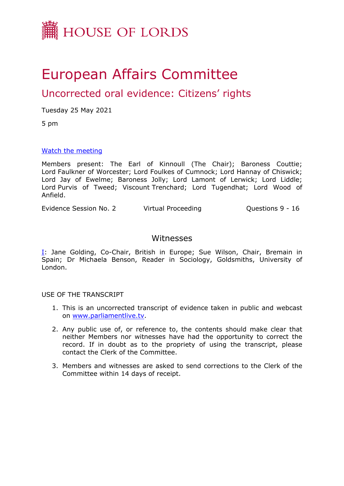

# European Affairs Committee

## Uncorrected oral evidence: Citizens' rights

Tuesday 25 May 2021

5 pm

## [Watch](https://www.parliamentlive.tv/Event/Index/d4cfcc26-8c12-4f88-9600-5cc315fdfc76) [the](https://www.parliamentlive.tv/Event/Index/d4cfcc26-8c12-4f88-9600-5cc315fdfc76) [meeting](https://www.parliamentlive.tv/Event/Index/d4cfcc26-8c12-4f88-9600-5cc315fdfc76)

Members present: The Earl of Kinnoull (The Chair); Baroness Couttie; Lord Faulkner of Worcester; Lord Foulkes of Cumnock; Lord Hannay of Chiswick; Lord Jay of Ewelme; Baroness Jolly; Lord Lamont of Lerwick; Lord Liddle; Lord Purvis of Tweed; Viscount Trenchard; Lord Tugendhat; Lord Wood of Anfield.

Evidence Session No. 2 Virtual Proceeding Cuestions 9 - 16

## Witnesses

[I:](#page-1-0) Jane Golding, Co-Chair, British in Europe; Sue Wilson, Chair, Bremain in Spain; Dr Michaela Benson, Reader in Sociology, Goldsmiths, University of London.

USE OF THE TRANSCRIPT

- 1. This is an uncorrected transcript of evidence taken in public and webcast on [www.parliamentlive.tv.](http://www.parliamentlive.tv/)
- 2. Any public use of, or reference to, the contents should make clear that neither Members nor witnesses have had the opportunity to correct the record. If in doubt as to the propriety of using the transcript, please contact the Clerk of the Committee.
- 3. Members and witnesses are asked to send corrections to the Clerk of the Committee within 14 days of receipt.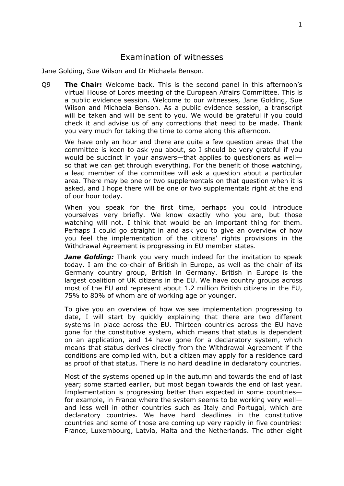## <span id="page-1-0"></span>Examination of witnesses

Jane Golding, Sue Wilson and Dr Michaela Benson.

Q9 **The Chair:** Welcome back. This is the second panel in this afternoon's virtual House of Lords meeting of the European Affairs Committee. This is a public evidence session. Welcome to our witnesses, Jane Golding, Sue Wilson and Michaela Benson. As a public evidence session, a transcript will be taken and will be sent to you. We would be grateful if you could check it and advise us of any corrections that need to be made. Thank you very much for taking the time to come along this afternoon.

We have only an hour and there are quite a few question areas that the committee is keen to ask you about, so I should be very grateful if you would be succinct in your answers—that applies to questioners as well so that we can get through everything. For the benefit of those watching, a lead member of the committee will ask a question about a particular area. There may be one or two supplementals on that question when it is asked, and I hope there will be one or two supplementals right at the end of our hour today.

When you speak for the first time, perhaps you could introduce yourselves very briefly. We know exactly who you are, but those watching will not. I think that would be an important thing for them. Perhaps I could go straight in and ask you to give an overview of how you feel the implementation of the citizens' rights provisions in the Withdrawal Agreement is progressing in EU member states.

*Jane Golding:* Thank you very much indeed for the invitation to speak today. I am the co-chair of British in Europe, as well as the chair of its Germany country group, British in Germany. British in Europe is the largest coalition of UK citizens in the EU. We have country groups across most of the EU and represent about 1.2 million British citizens in the EU, 75% to 80% of whom are of working age or younger.

To give you an overview of how we see implementation progressing to date, I will start by quickly explaining that there are two different systems in place across the EU. Thirteen countries across the EU have gone for the constitutive system, which means that status is dependent on an application, and 14 have gone for a declaratory system, which means that status derives directly from the Withdrawal Agreement if the conditions are complied with, but a citizen may apply for a residence card as proof of that status. There is no hard deadline in declaratory countries.

Most of the systems opened up in the autumn and towards the end of last year; some started earlier, but most began towards the end of last year. Implementation is progressing better than expected in some countries for example, in France where the system seems to be working very well and less well in other countries such as Italy and Portugal, which are declaratory countries. We have hard deadlines in the constitutive countries and some of those are coming up very rapidly in five countries: France, Luxembourg, Latvia, Malta and the Netherlands. The other eight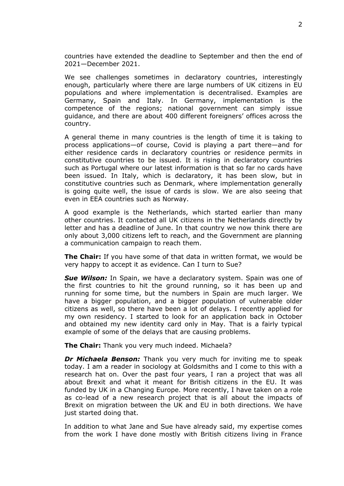countries have extended the deadline to September and then the end of 2021—December 2021.

We see challenges sometimes in declaratory countries, interestingly enough, particularly where there are large numbers of UK citizens in EU populations and where implementation is decentralised. Examples are Germany, Spain and Italy. In Germany, implementation is the competence of the regions; national government can simply issue guidance, and there are about 400 different foreigners' offices across the country.

A general theme in many countries is the length of time it is taking to process applications—of course, Covid is playing a part there—and for either residence cards in declaratory countries or residence permits in constitutive countries to be issued. It is rising in declaratory countries such as Portugal where our latest information is that so far no cards have been issued. In Italy, which is declaratory, it has been slow, but in constitutive countries such as Denmark, where implementation generally is going quite well, the issue of cards is slow. We are also seeing that even in EEA countries such as Norway.

A good example is the Netherlands, which started earlier than many other countries. It contacted all UK citizens in the Netherlands directly by letter and has a deadline of June. In that country we now think there are only about 3,000 citizens left to reach, and the Government are planning a communication campaign to reach them.

**The Chair:** If you have some of that data in written format, we would be very happy to accept it as evidence. Can I turn to Sue?

*Sue Wilson:* In Spain, we have a declaratory system. Spain was one of the first countries to hit the ground running, so it has been up and running for some time, but the numbers in Spain are much larger. We have a bigger population, and a bigger population of vulnerable older citizens as well, so there have been a lot of delays. I recently applied for my own residency. I started to look for an application back in October and obtained my new identity card only in May. That is a fairly typical example of some of the delays that are causing problems.

**The Chair:** Thank you very much indeed. Michaela?

*Dr Michaela Benson:* Thank you very much for inviting me to speak today. I am a reader in sociology at Goldsmiths and I come to this with a research hat on. Over the past four years, I ran a project that was all about Brexit and what it meant for British citizens in the EU. It was funded by UK in a Changing Europe. More recently, I have taken on a role as co-lead of a new research project that is all about the impacts of Brexit on migration between the UK and EU in both directions. We have just started doing that.

In addition to what Jane and Sue have already said, my expertise comes from the work I have done mostly with British citizens living in France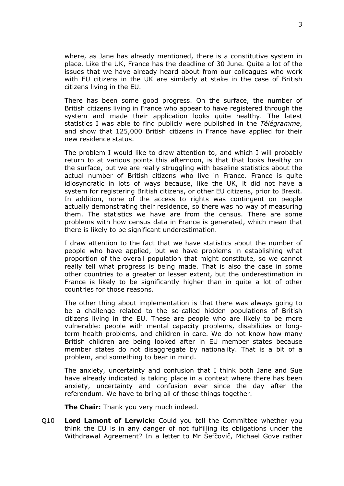where, as Jane has already mentioned, there is a constitutive system in place. Like the UK, France has the deadline of 30 June. Quite a lot of the issues that we have already heard about from our colleagues who work with EU citizens in the UK are similarly at stake in the case of British citizens living in the EU.

There has been some good progress. On the surface, the number of British citizens living in France who appear to have registered through the system and made their application looks quite healthy. The latest statistics I was able to find publicly were published in the *Télégramme*, and show that 125,000 British citizens in France have applied for their new residence status.

The problem I would like to draw attention to, and which I will probably return to at various points this afternoon, is that that looks healthy on the surface, but we are really struggling with baseline statistics about the actual number of British citizens who live in France. France is quite idiosyncratic in lots of ways because, like the UK, it did not have a system for registering British citizens, or other EU citizens, prior to Brexit. In addition, none of the access to rights was contingent on people actually demonstrating their residence, so there was no way of measuring them. The statistics we have are from the census. There are some problems with how census data in France is generated, which mean that there is likely to be significant underestimation.

I draw attention to the fact that we have statistics about the number of people who have applied, but we have problems in establishing what proportion of the overall population that might constitute, so we cannot really tell what progress is being made. That is also the case in some other countries to a greater or lesser extent, but the underestimation in France is likely to be significantly higher than in quite a lot of other countries for those reasons.

The other thing about implementation is that there was always going to be a challenge related to the so-called hidden populations of British citizens living in the EU. These are people who are likely to be more vulnerable: people with mental capacity problems, disabilities or longterm health problems, and children in care. We do not know how many British children are being looked after in EU member states because member states do not disaggregate by nationality. That is a bit of a problem, and something to bear in mind.

The anxiety, uncertainty and confusion that I think both Jane and Sue have already indicated is taking place in a context where there has been anxiety, uncertainty and confusion ever since the day after the referendum. We have to bring all of those things together.

**The Chair:** Thank you very much indeed.

Q10 **Lord Lamont of Lerwick:** Could you tell the Committee whether you think the EU is in any danger of not fulfilling its obligations under the Withdrawal Agreement? In a letter to Mr Šefčovič, Michael Gove rather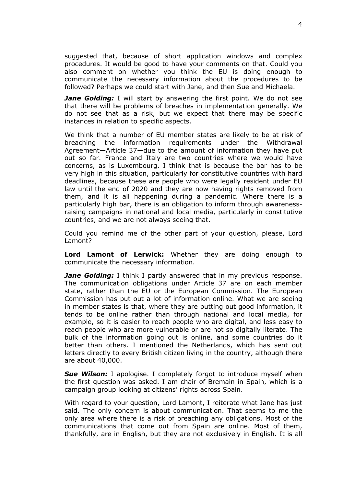suggested that, because of short application windows and complex procedures. It would be good to have your comments on that. Could you also comment on whether you think the EU is doing enough to communicate the necessary information about the procedures to be followed? Perhaps we could start with Jane, and then Sue and Michaela.

*Jane Golding:* I will start by answering the first point. We do not see that there will be problems of breaches in implementation generally. We do not see that as a risk, but we expect that there may be specific instances in relation to specific aspects.

We think that a number of EU member states are likely to be at risk of breaching the information requirements under the Withdrawal Agreement—Article 37—due to the amount of information they have put out so far. France and Italy are two countries where we would have concerns, as is Luxembourg. I think that is because the bar has to be very high in this situation, particularly for constitutive countries with hard deadlines, because these are people who were legally resident under EU law until the end of 2020 and they are now having rights removed from them, and it is all happening during a pandemic. Where there is a particularly high bar, there is an obligation to inform through awarenessraising campaigns in national and local media, particularly in constitutive countries, and we are not always seeing that.

Could you remind me of the other part of your question, please, Lord Lamont?

**Lord Lamont of Lerwick:** Whether they are doing enough to communicate the necessary information.

*Jane Golding:* I think I partly answered that in my previous response. The communication obligations under Article 37 are on each member state, rather than the EU or the European Commission. The European Commission has put out a lot of information online. What we are seeing in member states is that, where they are putting out good information, it tends to be online rather than through national and local media, for example, so it is easier to reach people who are digital, and less easy to reach people who are more vulnerable or are not so digitally literate. The bulk of the information going out is online, and some countries do it better than others. I mentioned the Netherlands, which has sent out letters directly to every British citizen living in the country, although there are about 40,000.

*Sue Wilson:* I apologise. I completely forgot to introduce myself when the first question was asked. I am chair of Bremain in Spain, which is a campaign group looking at citizens' rights across Spain.

With regard to your question, Lord Lamont, I reiterate what Jane has just said. The only concern is about communication. That seems to me the only area where there is a risk of breaching any obligations. Most of the communications that come out from Spain are online. Most of them, thankfully, are in English, but they are not exclusively in English. It is all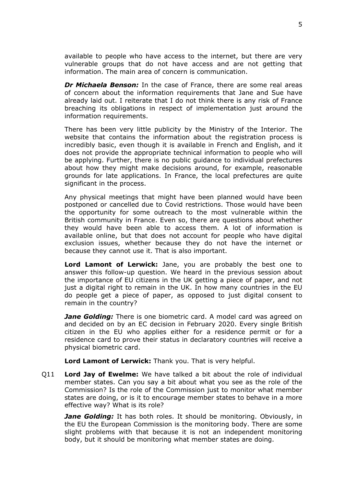available to people who have access to the internet, but there are very vulnerable groups that do not have access and are not getting that information. The main area of concern is communication.

*Dr Michaela Benson:* In the case of France, there are some real areas of concern about the information requirements that Jane and Sue have already laid out. I reiterate that I do not think there is any risk of France breaching its obligations in respect of implementation just around the information requirements.

There has been very little publicity by the Ministry of the Interior. The website that contains the information about the registration process is incredibly basic, even though it is available in French and English, and it does not provide the appropriate technical information to people who will be applying. Further, there is no public guidance to individual prefectures about how they might make decisions around, for example, reasonable grounds for late applications. In France, the local prefectures are quite significant in the process.

Any physical meetings that might have been planned would have been postponed or cancelled due to Covid restrictions. Those would have been the opportunity for some outreach to the most vulnerable within the British community in France. Even so, there are questions about whether they would have been able to access them. A lot of information is available online, but that does not account for people who have digital exclusion issues, whether because they do not have the internet or because they cannot use it. That is also important.

**Lord Lamont of Lerwick:** Jane, you are probably the best one to answer this follow-up question. We heard in the previous session about the importance of EU citizens in the UK getting a piece of paper, and not just a digital right to remain in the UK. In how many countries in the EU do people get a piece of paper, as opposed to just digital consent to remain in the country?

*Jane Golding:* There is one biometric card. A model card was agreed on and decided on by an EC decision in February 2020. Every single British citizen in the EU who applies either for a residence permit or for a residence card to prove their status in declaratory countries will receive a physical biometric card.

**Lord Lamont of Lerwick:** Thank you. That is very helpful.

Q11 **Lord Jay of Ewelme:** We have talked a bit about the role of individual member states. Can you say a bit about what you see as the role of the Commission? Is the role of the Commission just to monitor what member states are doing, or is it to encourage member states to behave in a more effective way? What is its role?

*Jane Golding:* It has both roles. It should be monitoring. Obviously, in the EU the European Commission is the monitoring body. There are some slight problems with that because it is not an independent monitoring body, but it should be monitoring what member states are doing.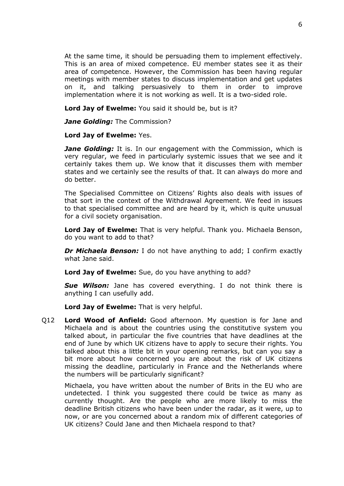At the same time, it should be persuading them to implement effectively. This is an area of mixed competence. EU member states see it as their area of competence. However, the Commission has been having regular meetings with member states to discuss implementation and get updates on it, and talking persuasively to them in order to improve implementation where it is not working as well. It is a two-sided role.

**Lord Jay of Ewelme:** You said it should be, but is it?

*Jane Golding:* The Commission?

## **Lord Jay of Ewelme:** Yes.

*Jane Golding:* It is. In our engagement with the Commission, which is very regular, we feed in particularly systemic issues that we see and it certainly takes them up. We know that it discusses them with member states and we certainly see the results of that. It can always do more and do better.

The Specialised Committee on Citizens' Rights also deals with issues of that sort in the context of the Withdrawal Agreement. We feed in issues to that specialised committee and are heard by it, which is quite unusual for a civil society organisation.

**Lord Jay of Ewelme:** That is very helpful. Thank you. Michaela Benson, do you want to add to that?

*Dr Michaela Benson:* I do not have anything to add; I confirm exactly what Jane said.

**Lord Jay of Ewelme:** Sue, do you have anything to add?

*Sue Wilson:* Jane has covered everything. I do not think there is anything I can usefully add.

**Lord Jay of Ewelme:** That is very helpful.

Q12 **Lord Wood of Anfield:** Good afternoon. My question is for Jane and Michaela and is about the countries using the constitutive system you talked about, in particular the five countries that have deadlines at the end of June by which UK citizens have to apply to secure their rights. You talked about this a little bit in your opening remarks, but can you say a bit more about how concerned you are about the risk of UK citizens missing the deadline, particularly in France and the Netherlands where the numbers will be particularly significant?

Michaela, you have written about the number of Brits in the EU who are undetected. I think you suggested there could be twice as many as currently thought. Are the people who are more likely to miss the deadline British citizens who have been under the radar, as it were, up to now, or are you concerned about a random mix of different categories of UK citizens? Could Jane and then Michaela respond to that?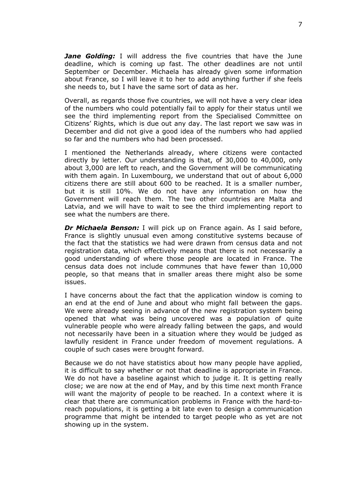*Jane Golding:* I will address the five countries that have the June deadline, which is coming up fast. The other deadlines are not until September or December. Michaela has already given some information about France, so I will leave it to her to add anything further if she feels she needs to, but I have the same sort of data as her.

Overall, as regards those five countries, we will not have a very clear idea of the numbers who could potentially fail to apply for their status until we see the third implementing report from the Specialised Committee on Citizens' Rights, which is due out any day. The last report we saw was in December and did not give a good idea of the numbers who had applied so far and the numbers who had been processed.

I mentioned the Netherlands already, where citizens were contacted directly by letter. Our understanding is that, of 30,000 to 40,000, only about 3,000 are left to reach, and the Government will be communicating with them again. In Luxembourg, we understand that out of about 6,000 citizens there are still about 600 to be reached. It is a smaller number, but it is still 10%. We do not have any information on how the Government will reach them. The two other countries are Malta and Latvia, and we will have to wait to see the third implementing report to see what the numbers are there.

*Dr Michaela Benson:* I will pick up on France again. As I said before, France is slightly unusual even among constitutive systems because of the fact that the statistics we had were drawn from census data and not registration data, which effectively means that there is not necessarily a good understanding of where those people are located in France. The census data does not include communes that have fewer than 10,000 people, so that means that in smaller areas there might also be some issues.

I have concerns about the fact that the application window is coming to an end at the end of June and about who might fall between the gaps. We were already seeing in advance of the new registration system being opened that what was being uncovered was a population of quite vulnerable people who were already falling between the gaps, and would not necessarily have been in a situation where they would be judged as lawfully resident in France under freedom of movement regulations. A couple of such cases were brought forward.

Because we do not have statistics about how many people have applied, it is difficult to say whether or not that deadline is appropriate in France. We do not have a baseline against which to judge it. It is getting really close; we are now at the end of May, and by this time next month France will want the majority of people to be reached. In a context where it is clear that there are communication problems in France with the hard-toreach populations, it is getting a bit late even to design a communication programme that might be intended to target people who as yet are not showing up in the system.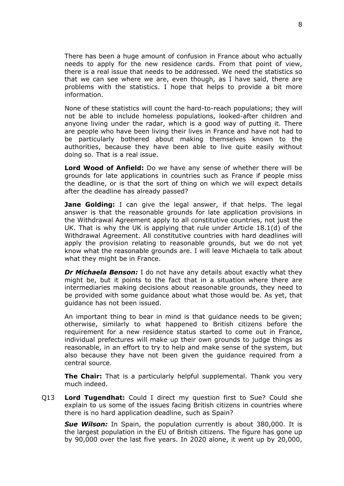There has been a huge amount of confusion in France about who actually needs to apply for the new residence cards. From that point of view, there is a real issue that needs to be addressed. We need the statistics so that we can see where we are, even though, as I have said, there are problems with the statistics. I hope that helps to provide a bit more information.

None of these statistics will count the hard-to-reach populations; they will not be able to include homeless populations, looked-after children and anyone living under the radar, which is a good way of putting it. There are people who have been living their lives in France and have not had to be particularly bothered about making themselves known to the authorities, because they have been able to live quite easily without doing so. That is a real issue.

**Lord Wood of Anfield:** Do we have any sense of whether there will be grounds for late applications in countries such as France if people miss the deadline, or is that the sort of thing on which we will expect details after the deadline has already passed?

**Jane Golding:** I can give the legal answer, if that helps. The legal answer is that the reasonable grounds for late application provisions in the Withdrawal Agreement apply to all constitutive countries, not just the UK. That is why the UK is applying that rule under Article 18.1(d) of the Withdrawal Agreement. All constitutive countries with hard deadlines will apply the provision relating to reasonable grounds, but we do not yet know what the reasonable grounds are. I will leave Michaela to talk about what they might be in France.

*Dr Michaela Benson:* I do not have any details about exactly what they might be, but it points to the fact that in a situation where there are intermediaries making decisions about reasonable grounds, they need to be provided with some guidance about what those would be. As yet, that guidance has not been issued.

An important thing to bear in mind is that guidance needs to be given; otherwise, similarly to what happened to British citizens before the requirement for a new residence status started to come out in France, individual prefectures will make up their own grounds to judge things as reasonable, in an effort to try to help and make sense of the system, but also because they have not been given the guidance required from a central source.

**The Chair:** That is a particularly helpful supplemental. Thank you very much indeed.

Q13 **Lord Tugendhat:** Could I direct my question first to Sue? Could she explain to us some of the issues facing British citizens in countries where there is no hard application deadline, such as Spain?

*Sue Wilson:* In Spain, the population currently is about 380,000. It is the largest population in the EU of British citizens. The figure has gone up by 90,000 over the last five years. In 2020 alone, it went up by 20,000,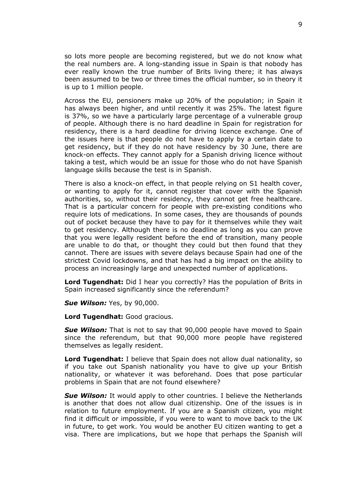so lots more people are becoming registered, but we do not know what the real numbers are. A long-standing issue in Spain is that nobody has ever really known the true number of Brits living there; it has always been assumed to be two or three times the official number, so in theory it is up to 1 million people.

Across the EU, pensioners make up 20% of the population; in Spain it has always been higher, and until recently it was 25%. The latest figure is 37%, so we have a particularly large percentage of a vulnerable group of people. Although there is no hard deadline in Spain for registration for residency, there is a hard deadline for driving licence exchange. One of the issues here is that people do not have to apply by a certain date to get residency, but if they do not have residency by 30 June, there are knock-on effects. They cannot apply for a Spanish driving licence without taking a test, which would be an issue for those who do not have Spanish language skills because the test is in Spanish.

There is also a knock-on effect, in that people relying on S1 health cover, or wanting to apply for it, cannot register that cover with the Spanish authorities, so, without their residency, they cannot get free healthcare. That is a particular concern for people with pre-existing conditions who require lots of medications. In some cases, they are thousands of pounds out of pocket because they have to pay for it themselves while they wait to get residency. Although there is no deadline as long as you can prove that you were legally resident before the end of transition, many people are unable to do that, or thought they could but then found that they cannot. There are issues with severe delays because Spain had one of the strictest Covid lockdowns, and that has had a big impact on the ability to process an increasingly large and unexpected number of applications.

**Lord Tugendhat:** Did I hear you correctly? Has the population of Brits in Spain increased significantly since the referendum?

*Sue Wilson:* Yes, by 90,000.

**Lord Tugendhat:** Good gracious.

*Sue Wilson:* That is not to say that 90,000 people have moved to Spain since the referendum, but that 90,000 more people have registered themselves as legally resident.

**Lord Tugendhat:** I believe that Spain does not allow dual nationality, so if you take out Spanish nationality you have to give up your British nationality, or whatever it was beforehand. Does that pose particular problems in Spain that are not found elsewhere?

**Sue Wilson:** It would apply to other countries. I believe the Netherlands is another that does not allow dual citizenship. One of the issues is in relation to future employment. If you are a Spanish citizen, you might find it difficult or impossible, if you were to want to move back to the UK in future, to get work. You would be another EU citizen wanting to get a visa. There are implications, but we hope that perhaps the Spanish will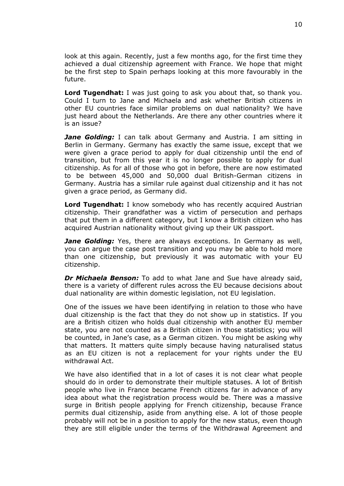look at this again. Recently, just a few months ago, for the first time they achieved a dual citizenship agreement with France. We hope that might be the first step to Spain perhaps looking at this more favourably in the future.

**Lord Tugendhat:** I was just going to ask you about that, so thank you. Could I turn to Jane and Michaela and ask whether British citizens in other EU countries face similar problems on dual nationality? We have just heard about the Netherlands. Are there any other countries where it is an issue?

*Jane Golding:* I can talk about Germany and Austria. I am sitting in Berlin in Germany. Germany has exactly the same issue, except that we were given a grace period to apply for dual citizenship until the end of transition, but from this year it is no longer possible to apply for dual citizenship. As for all of those who got in before, there are now estimated to be between 45,000 and 50,000 dual British-German citizens in Germany. Austria has a similar rule against dual citizenship and it has not given a grace period, as Germany did.

**Lord Tugendhat:** I know somebody who has recently acquired Austrian citizenship. Their grandfather was a victim of persecution and perhaps that put them in a different category, but I know a British citizen who has acquired Austrian nationality without giving up their UK passport.

*Jane Golding:* Yes, there are always exceptions. In Germany as well, you can argue the case post transition and you may be able to hold more than one citizenship, but previously it was automatic with your EU citizenship.

*Dr Michaela Benson:* To add to what Jane and Sue have already said, there is a variety of different rules across the EU because decisions about dual nationality are within domestic legislation, not EU legislation.

One of the issues we have been identifying in relation to those who have dual citizenship is the fact that they do not show up in statistics. If you are a British citizen who holds dual citizenship with another EU member state, you are not counted as a British citizen in those statistics; you will be counted, in Jane's case, as a German citizen. You might be asking why that matters. It matters quite simply because having naturalised status as an EU citizen is not a replacement for your rights under the EU withdrawal Act.

We have also identified that in a lot of cases it is not clear what people should do in order to demonstrate their multiple statuses. A lot of British people who live in France became French citizens far in advance of any idea about what the registration process would be. There was a massive surge in British people applying for French citizenship, because France permits dual citizenship, aside from anything else. A lot of those people probably will not be in a position to apply for the new status, even though they are still eligible under the terms of the Withdrawal Agreement and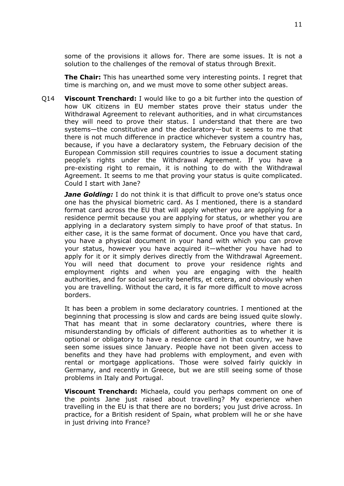some of the provisions it allows for. There are some issues. It is not a solution to the challenges of the removal of status through Brexit.

**The Chair:** This has unearthed some very interesting points. I regret that time is marching on, and we must move to some other subject areas.

Q14 **Viscount Trenchard:** I would like to go a bit further into the question of how UK citizens in EU member states prove their status under the Withdrawal Agreement to relevant authorities, and in what circumstances they will need to prove their status. I understand that there are two systems—the constitutive and the declaratory—but it seems to me that there is not much difference in practice whichever system a country has, because, if you have a declaratory system, the February decision of the European Commission still requires countries to issue a document stating people's rights under the Withdrawal Agreement. If you have a pre-existing right to remain, it is nothing to do with the Withdrawal Agreement. It seems to me that proving your status is quite complicated. Could I start with Jane?

*Jane Golding:* I do not think it is that difficult to prove one's status once one has the physical biometric card. As I mentioned, there is a standard format card across the EU that will apply whether you are applying for a residence permit because you are applying for status, or whether you are applying in a declaratory system simply to have proof of that status. In either case, it is the same format of document. Once you have that card, you have a physical document in your hand with which you can prove your status, however you have acquired it—whether you have had to apply for it or it simply derives directly from the Withdrawal Agreement. You will need that document to prove your residence rights and employment rights and when you are engaging with the health authorities, and for social security benefits, et cetera, and obviously when you are travelling. Without the card, it is far more difficult to move across borders.

It has been a problem in some declaratory countries. I mentioned at the beginning that processing is slow and cards are being issued quite slowly. That has meant that in some declaratory countries, where there is misunderstanding by officials of different authorities as to whether it is optional or obligatory to have a residence card in that country, we have seen some issues since January. People have not been given access to benefits and they have had problems with employment, and even with rental or mortgage applications. Those were solved fairly quickly in Germany, and recently in Greece, but we are still seeing some of those problems in Italy and Portugal.

**Viscount Trenchard:** Michaela, could you perhaps comment on one of the points Jane just raised about travelling? My experience when travelling in the EU is that there are no borders; you just drive across. In practice, for a British resident of Spain, what problem will he or she have in just driving into France?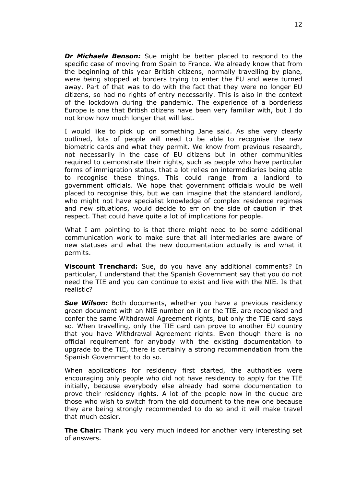*Dr Michaela Benson:* Sue might be better placed to respond to the specific case of moving from Spain to France. We already know that from the beginning of this year British citizens, normally travelling by plane, were being stopped at borders trying to enter the EU and were turned away. Part of that was to do with the fact that they were no longer EU citizens, so had no rights of entry necessarily. This is also in the context of the lockdown during the pandemic. The experience of a borderless Europe is one that British citizens have been very familiar with, but I do not know how much longer that will last.

I would like to pick up on something Jane said. As she very clearly outlined, lots of people will need to be able to recognise the new biometric cards and what they permit. We know from previous research, not necessarily in the case of EU citizens but in other communities required to demonstrate their rights, such as people who have particular forms of immigration status, that a lot relies on intermediaries being able to recognise these things. This could range from a landlord to government officials. We hope that government officials would be well placed to recognise this, but we can imagine that the standard landlord, who might not have specialist knowledge of complex residence regimes and new situations, would decide to err on the side of caution in that respect. That could have quite a lot of implications for people.

What I am pointing to is that there might need to be some additional communication work to make sure that all intermediaries are aware of new statuses and what the new documentation actually is and what it permits.

**Viscount Trenchard:** Sue, do you have any additional comments? In particular, I understand that the Spanish Government say that you do not need the TIE and you can continue to exist and live with the NIE. Is that realistic?

*Sue Wilson:* Both documents, whether you have a previous residency green document with an NIE number on it or the TIE, are recognised and confer the same Withdrawal Agreement rights, but only the TIE card says so. When travelling, only the TIE card can prove to another EU country that you have Withdrawal Agreement rights. Even though there is no official requirement for anybody with the existing documentation to upgrade to the TIE, there is certainly a strong recommendation from the Spanish Government to do so.

When applications for residency first started, the authorities were encouraging only people who did not have residency to apply for the TIE initially, because everybody else already had some documentation to prove their residency rights. A lot of the people now in the queue are those who wish to switch from the old document to the new one because they are being strongly recommended to do so and it will make travel that much easier.

**The Chair:** Thank you very much indeed for another very interesting set of answers.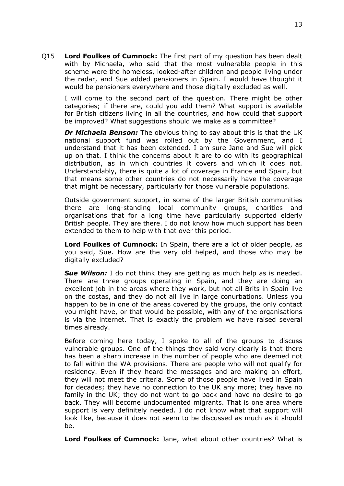Q15 **Lord Foulkes of Cumnock:** The first part of my question has been dealt with by Michaela, who said that the most vulnerable people in this scheme were the homeless, looked-after children and people living under the radar, and Sue added pensioners in Spain. I would have thought it would be pensioners everywhere and those digitally excluded as well.

I will come to the second part of the question. There might be other categories; if there are, could you add them? What support is available for British citizens living in all the countries, and how could that support be improved? What suggestions should we make as a committee?

*Dr Michaela Benson:* The obvious thing to say about this is that the UK national support fund was rolled out by the Government, and I understand that it has been extended. I am sure Jane and Sue will pick up on that. I think the concerns about it are to do with its geographical distribution, as in which countries it covers and which it does not. Understandably, there is quite a lot of coverage in France and Spain, but that means some other countries do not necessarily have the coverage that might be necessary, particularly for those vulnerable populations.

Outside government support, in some of the larger British communities there are long-standing local community groups, charities and organisations that for a long time have particularly supported elderly British people. They are there. I do not know how much support has been extended to them to help with that over this period.

**Lord Foulkes of Cumnock:** In Spain, there are a lot of older people, as you said, Sue. How are the very old helped, and those who may be digitally excluded?

*Sue Wilson:* I do not think they are getting as much help as is needed. There are three groups operating in Spain, and they are doing an excellent job in the areas where they work, but not all Brits in Spain live on the costas, and they do not all live in large conurbations. Unless you happen to be in one of the areas covered by the groups, the only contact you might have, or that would be possible, with any of the organisations is via the internet. That is exactly the problem we have raised several times already.

Before coming here today, I spoke to all of the groups to discuss vulnerable groups. One of the things they said very clearly is that there has been a sharp increase in the number of people who are deemed not to fall within the WA provisions. There are people who will not qualify for residency. Even if they heard the messages and are making an effort, they will not meet the criteria. Some of those people have lived in Spain for decades; they have no connection to the UK any more; they have no family in the UK; they do not want to go back and have no desire to go back. They will become undocumented migrants. That is one area where support is very definitely needed. I do not know what that support will look like, because it does not seem to be discussed as much as it should be.

**Lord Foulkes of Cumnock:** Jane, what about other countries? What is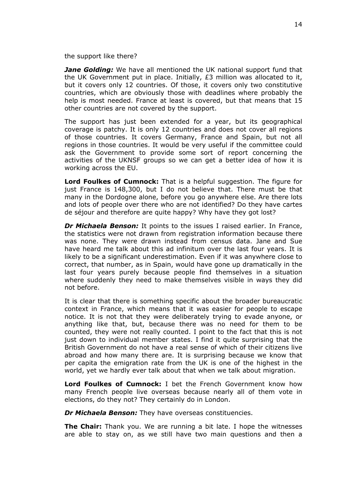the support like there?

*Jane Golding:* We have all mentioned the UK national support fund that the UK Government put in place. Initially,  $E3$  million was allocated to it, but it covers only 12 countries. Of those, it covers only two constitutive countries, which are obviously those with deadlines where probably the help is most needed. France at least is covered, but that means that 15 other countries are not covered by the support.

The support has just been extended for a year, but its geographical coverage is patchy. It is only 12 countries and does not cover all regions of those countries. It covers Germany, France and Spain, but not all regions in those countries. It would be very useful if the committee could ask the Government to provide some sort of report concerning the activities of the UKNSF groups so we can get a better idea of how it is working across the EU.

**Lord Foulkes of Cumnock:** That is a helpful suggestion. The figure for just France is 148,300, but I do not believe that. There must be that many in the Dordogne alone, before you go anywhere else. Are there lots and lots of people over there who are not identified? Do they have cartes de séjour and therefore are quite happy? Why have they got lost?

*Dr Michaela Benson:* It points to the issues I raised earlier. In France, the statistics were not drawn from registration information because there was none. They were drawn instead from census data. Jane and Sue have heard me talk about this ad infinitum over the last four years. It is likely to be a significant underestimation. Even if it was anywhere close to correct, that number, as in Spain, would have gone up dramatically in the last four years purely because people find themselves in a situation where suddenly they need to make themselves visible in ways they did not before.

It is clear that there is something specific about the broader bureaucratic context in France, which means that it was easier for people to escape notice. It is not that they were deliberately trying to evade anyone, or anything like that, but, because there was no need for them to be counted, they were not really counted. I point to the fact that this is not just down to individual member states. I find it quite surprising that the British Government do not have a real sense of which of their citizens live abroad and how many there are. It is surprising because we know that per capita the emigration rate from the UK is one of the highest in the world, yet we hardly ever talk about that when we talk about migration.

**Lord Foulkes of Cumnock:** I bet the French Government know how many French people live overseas because nearly all of them vote in elections, do they not? They certainly do in London.

*Dr Michaela Benson:* They have overseas constituencies.

**The Chair:** Thank you. We are running a bit late. I hope the witnesses are able to stay on, as we still have two main questions and then a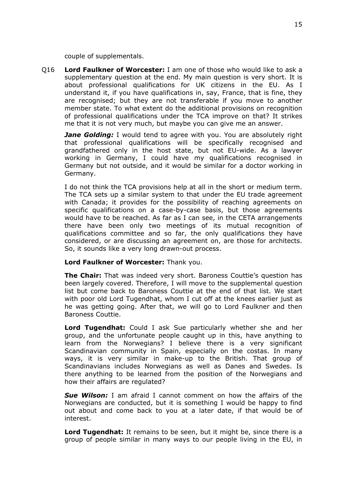couple of supplementals.

Q16 **Lord Faulkner of Worcester:** I am one of those who would like to ask a supplementary question at the end. My main question is very short. It is about professional qualifications for UK citizens in the EU. As I understand it, if you have qualifications in, say, France, that is fine, they are recognised; but they are not transferable if you move to another member state. To what extent do the additional provisions on recognition of professional qualifications under the TCA improve on that? It strikes me that it is not very much, but maybe you can give me an answer.

*Jane Golding:* I would tend to agree with you. You are absolutely right that professional qualifications will be specifically recognised and grandfathered only in the host state, but not EU-wide. As a lawyer working in Germany, I could have my qualifications recognised in Germany but not outside, and it would be similar for a doctor working in Germany.

I do not think the TCA provisions help at all in the short or medium term. The TCA sets up a similar system to that under the EU trade agreement with Canada; it provides for the possibility of reaching agreements on specific qualifications on a case-by-case basis, but those agreements would have to be reached. As far as I can see, in the CETA arrangements there have been only two meetings of its mutual recognition of qualifications committee and so far, the only qualifications they have considered, or are discussing an agreement on, are those for architects. So, it sounds like a very long drawn-out process.

## **Lord Faulkner of Worcester:** Thank you.

**The Chair:** That was indeed very short. Baroness Couttie's question has been largely covered. Therefore, I will move to the supplemental question list but come back to Baroness Couttie at the end of that list. We start with poor old Lord Tugendhat, whom I cut off at the knees earlier just as he was getting going. After that, we will go to Lord Faulkner and then Baroness Couttie.

**Lord Tugendhat:** Could I ask Sue particularly whether she and her group, and the unfortunate people caught up in this, have anything to learn from the Norwegians? I believe there is a very significant Scandinavian community in Spain, especially on the costas. In many ways, it is very similar in make-up to the British. That group of Scandinavians includes Norwegians as well as Danes and Swedes. Is there anything to be learned from the position of the Norwegians and how their affairs are regulated?

*Sue Wilson:* I am afraid I cannot comment on how the affairs of the Norwegians are conducted, but it is something I would be happy to find out about and come back to you at a later date, if that would be of interest.

**Lord Tugendhat:** It remains to be seen, but it might be, since there is a group of people similar in many ways to our people living in the EU, in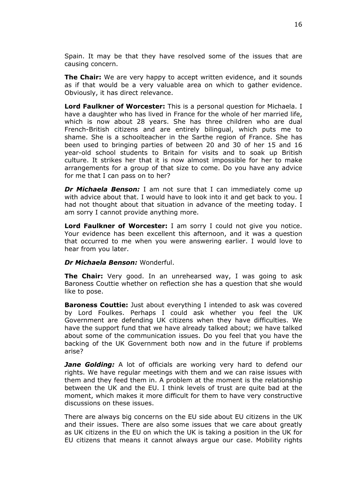Spain. It may be that they have resolved some of the issues that are causing concern.

**The Chair:** We are very happy to accept written evidence, and it sounds as if that would be a very valuable area on which to gather evidence. Obviously, it has direct relevance.

**Lord Faulkner of Worcester:** This is a personal question for Michaela. I have a daughter who has lived in France for the whole of her married life, which is now about 28 years. She has three children who are dual French-British citizens and are entirely bilingual, which puts me to shame. She is a schoolteacher in the Sarthe region of France. She has been used to bringing parties of between 20 and 30 of her 15 and 16 year-old school students to Britain for visits and to soak up British culture. It strikes her that it is now almost impossible for her to make arrangements for a group of that size to come. Do you have any advice for me that I can pass on to her?

*Dr Michaela Benson:* I am not sure that I can immediately come up with advice about that. I would have to look into it and get back to you. I had not thought about that situation in advance of the meeting today. I am sorry I cannot provide anything more.

**Lord Faulkner of Worcester:** I am sorry I could not give you notice. Your evidence has been excellent this afternoon, and it was a question that occurred to me when you were answering earlier. I would love to hear from you later.

#### *Dr Michaela Benson:* Wonderful.

**The Chair:** Very good. In an unrehearsed way, I was going to ask Baroness Couttie whether on reflection she has a question that she would like to pose.

**Baroness Couttie:** Just about everything I intended to ask was covered by Lord Foulkes. Perhaps I could ask whether you feel the UK Government are defending UK citizens when they have difficulties. We have the support fund that we have already talked about; we have talked about some of the communication issues. Do you feel that you have the backing of the UK Government both now and in the future if problems arise?

*Jane Golding:* A lot of officials are working very hard to defend our rights. We have regular meetings with them and we can raise issues with them and they feed them in. A problem at the moment is the relationship between the UK and the EU. I think levels of trust are quite bad at the moment, which makes it more difficult for them to have very constructive discussions on these issues.

There are always big concerns on the EU side about EU citizens in the UK and their issues. There are also some issues that we care about greatly as UK citizens in the EU on which the UK is taking a position in the UK for EU citizens that means it cannot always argue our case. Mobility rights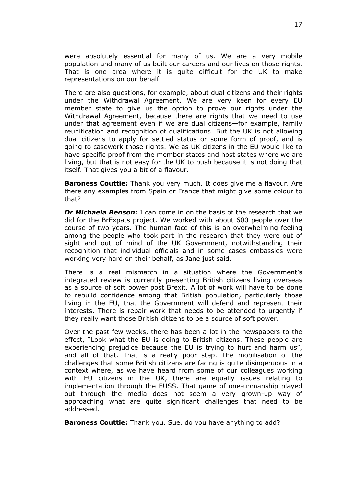were absolutely essential for many of us. We are a very mobile population and many of us built our careers and our lives on those rights. That is one area where it is quite difficult for the UK to make representations on our behalf.

There are also questions, for example, about dual citizens and their rights under the Withdrawal Agreement. We are very keen for every EU member state to give us the option to prove our rights under the Withdrawal Agreement, because there are rights that we need to use under that agreement even if we are dual citizens—for example, family reunification and recognition of qualifications. But the UK is not allowing dual citizens to apply for settled status or some form of proof, and is going to casework those rights. We as UK citizens in the EU would like to have specific proof from the member states and host states where we are living, but that is not easy for the UK to push because it is not doing that itself. That gives you a bit of a flavour.

**Baroness Couttie:** Thank you very much. It does give me a flavour. Are there any examples from Spain or France that might give some colour to that?

*Dr Michaela Benson:* I can come in on the basis of the research that we did for the BrExpats project. We worked with about 600 people over the course of two years. The human face of this is an overwhelming feeling among the people who took part in the research that they were out of sight and out of mind of the UK Government, notwithstanding their recognition that individual officials and in some cases embassies were working very hard on their behalf, as Jane just said.

There is a real mismatch in a situation where the Government's integrated review is currently presenting British citizens living overseas as a source of soft power post Brexit. A lot of work will have to be done to rebuild confidence among that British population, particularly those living in the EU, that the Government will defend and represent their interests. There is repair work that needs to be attended to urgently if they really want those British citizens to be a source of soft power.

Over the past few weeks, there has been a lot in the newspapers to the effect, "Look what the EU is doing to British citizens. These people are experiencing prejudice because the EU is trying to hurt and harm us", and all of that. That is a really poor step. The mobilisation of the challenges that some British citizens are facing is quite disingenuous in a context where, as we have heard from some of our colleagues working with EU citizens in the UK, there are equally issues relating to implementation through the EUSS. That game of one-upmanship played out through the media does not seem a very grown-up way of approaching what are quite significant challenges that need to be addressed.

**Baroness Couttie:** Thank you. Sue, do you have anything to add?